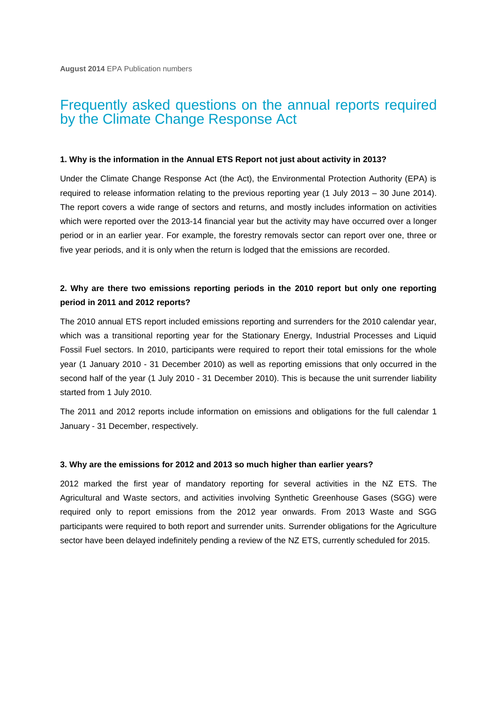# Frequently asked questions on the annual reports required by the Climate Change Response Act

#### **1. Why is the information in the Annual ETS Report not just about activity in 2013?**

Under the Climate Change Response Act (the Act), the Environmental Protection Authority (EPA) is required to release information relating to the previous reporting year (1 July 2013 – 30 June 2014). The report covers a wide range of sectors and returns, and mostly includes information on activities which were reported over the 2013-14 financial year but the activity may have occurred over a longer period or in an earlier year. For example, the forestry removals sector can report over one, three or five year periods, and it is only when the return is lodged that the emissions are recorded.

# **2. Why are there two emissions reporting periods in the 2010 report but only one reporting period in 2011 and 2012 reports?**

The 2010 annual ETS report included emissions reporting and surrenders for the 2010 calendar year, which was a transitional reporting year for the Stationary Energy, Industrial Processes and Liquid Fossil Fuel sectors. In 2010, participants were required to report their total emissions for the whole year (1 January 2010 - 31 December 2010) as well as reporting emissions that only occurred in the second half of the year (1 July 2010 - 31 December 2010). This is because the unit surrender liability started from 1 July 2010.

The 2011 and 2012 reports include information on emissions and obligations for the full calendar 1 January - 31 December, respectively.

### **3. Why are the emissions for 2012 and 2013 so much higher than earlier years?**

2012 marked the first year of mandatory reporting for several activities in the NZ ETS. The Agricultural and Waste sectors, and activities involving Synthetic Greenhouse Gases (SGG) were required only to report emissions from the 2012 year onwards. From 2013 Waste and SGG participants were required to both report and surrender units. Surrender obligations for the Agriculture sector have been delayed indefinitely pending a review of the NZ ETS, currently scheduled for 2015.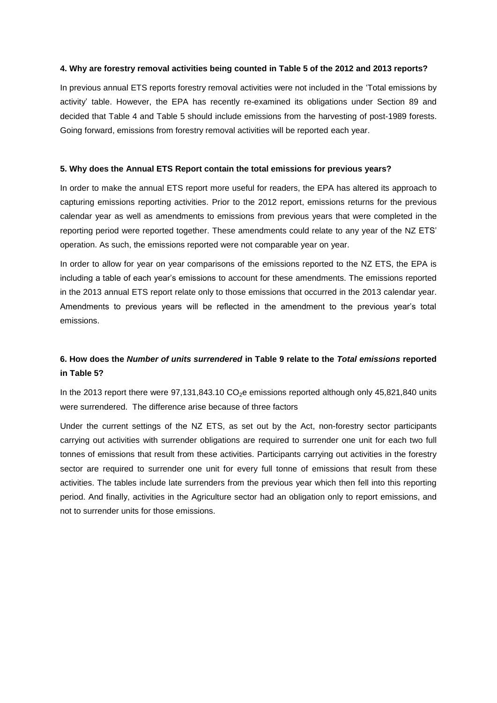### **4. Why are forestry removal activities being counted in Table 5 of the 2012 and 2013 reports?**

In previous annual ETS reports forestry removal activities were not included in the 'Total emissions by activity' table. However, the EPA has recently re-examined its obligations under Section 89 and decided that Table 4 and Table 5 should include emissions from the harvesting of post-1989 forests. Going forward, emissions from forestry removal activities will be reported each year.

## **5. Why does the Annual ETS Report contain the total emissions for previous years?**

In order to make the annual ETS report more useful for readers, the EPA has altered its approach to capturing emissions reporting activities. Prior to the 2012 report, emissions returns for the previous calendar year as well as amendments to emissions from previous years that were completed in the reporting period were reported together. These amendments could relate to any year of the NZ ETS' operation. As such, the emissions reported were not comparable year on year.

In order to allow for year on year comparisons of the emissions reported to the NZ ETS, the EPA is including a table of each year's emissions to account for these amendments. The emissions reported in the 2013 annual ETS report relate only to those emissions that occurred in the 2013 calendar year. Amendments to previous years will be reflected in the amendment to the previous year's total emissions.

# **6. How does the** *Number of units surrendered* **in Table 9 relate to the** *Total emissions* **reported in Table 5?**

In the 2013 report there were  $97,131,843.10$  CO<sub>2</sub>e emissions reported although only 45,821,840 units were surrendered. The difference arise because of three factors

Under the current settings of the NZ ETS, as set out by the Act, non-forestry sector participants carrying out activities with surrender obligations are required to surrender one unit for each two full tonnes of emissions that result from these activities. Participants carrying out activities in the forestry sector are required to surrender one unit for every full tonne of emissions that result from these activities. The tables include late surrenders from the previous year which then fell into this reporting period. And finally, activities in the Agriculture sector had an obligation only to report emissions, and not to surrender units for those emissions.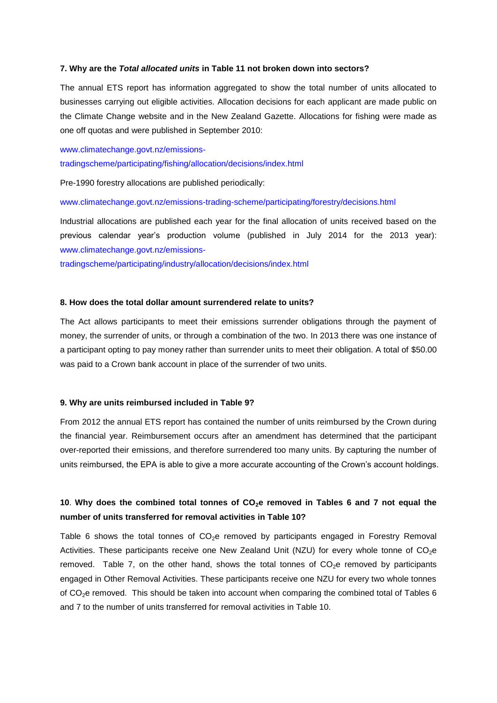#### **7. Why are the** *Total allocated units* **in Table 11 not broken down into sectors?**

The annual ETS report has information aggregated to show the total number of units allocated to businesses carrying out eligible activities. Allocation decisions for each applicant are made public on the Climate Change website and in the New Zealand Gazette. Allocations for fishing were made as one off quotas and were published in September 2010:

[www.climatechange.govt.nz/emissions](http://www.climatechange.govt.nz/emissions-tradingscheme/participating/fishing/allocation/decisions/index.html)[tradingscheme/participating/fishing/allocation/decisions/index.html](http://www.climatechange.govt.nz/emissions-tradingscheme/participating/fishing/allocation/decisions/index.html)

Pre-1990 forestry allocations are published periodically:

#### [www.climatechange.govt.nz/emissions-trading-scheme/participating/forestry/decisions.html](http://www.climatechange.govt.nz/emissions-trading-scheme/participating/forestry/decisions.html)

Industrial allocations are published each year for the final allocation of units received based on the previous calendar year's production volume (published in July 2014 for the 2013 year): [www.climatechange.govt.nz/emissions-](http://www.climatechange.govt.nz/emissions-tradingscheme/participating/industry/allocation/decisions/index.html)

[tradingscheme/participating/industry/allocation/decisions/index.html](http://www.climatechange.govt.nz/emissions-tradingscheme/participating/industry/allocation/decisions/index.html)

#### **8. How does the total dollar amount surrendered relate to units?**

The Act allows participants to meet their emissions surrender obligations through the payment of money, the surrender of units, or through a combination of the two. In 2013 there was one instance of a participant opting to pay money rather than surrender units to meet their obligation. A total of \$50.00 was paid to a Crown bank account in place of the surrender of two units.

#### **9. Why are units reimbursed included in Table 9?**

From 2012 the annual ETS report has contained the number of units reimbursed by the Crown during the financial year. Reimbursement occurs after an amendment has determined that the participant over-reported their emissions, and therefore surrendered too many units. By capturing the number of units reimbursed, the EPA is able to give a more accurate accounting of the Crown's account holdings.

# **10**. **Why does the combined total tonnes of CO2e removed in Tables 6 and 7 not equal the number of units transferred for removal activities in Table 10?**

Table 6 shows the total tonnes of  $CO<sub>2</sub>e$  removed by participants engaged in Forestry Removal Activities. These participants receive one New Zealand Unit (NZU) for every whole tonne of  $CO<sub>2</sub>e$ removed. Table 7, on the other hand, shows the total tonnes of  $CO<sub>2</sub>e$  removed by participants engaged in Other Removal Activities. These participants receive one NZU for every two whole tonnes of  $CO<sub>2</sub>e$  removed. This should be taken into account when comparing the combined total of Tables 6 and 7 to the number of units transferred for removal activities in Table 10.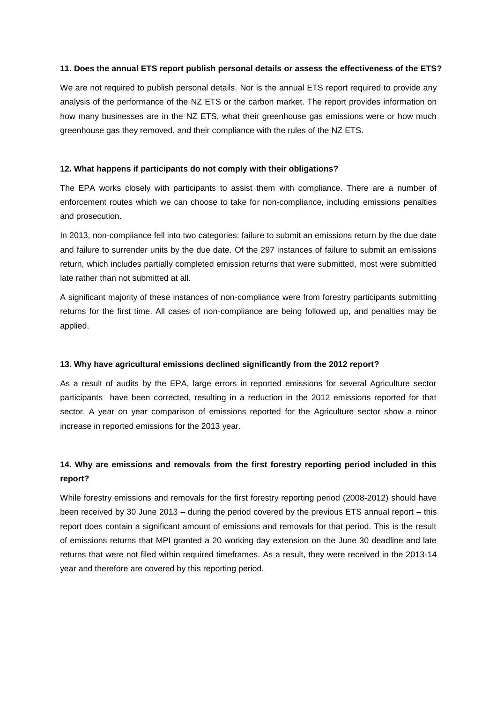## **11. Does the annual ETS report publish personal details or assess the effectiveness of the ETS?**

We are not required to publish personal details. Nor is the annual ETS report required to provide any analysis of the performance of the NZ ETS or the carbon market. The report provides information on how many businesses are in the NZ ETS, what their greenhouse gas emissions were or how much greenhouse gas they removed, and their compliance with the rules of the NZ ETS.

## **12. What happens if participants do not comply with their obligations?**

The EPA works closely with participants to assist them with compliance. There are a number of enforcement routes which we can choose to take for non-compliance, including emissions penalties and prosecution.

In 2013, non-compliance fell into two categories: failure to submit an emissions return by the due date and failure to surrender units by the due date. Of the 297 instances of failure to submit an emissions return, which includes partially completed emission returns that were submitted, most were submitted late rather than not submitted at all.

A significant majority of these instances of non-compliance were from forestry participants submitting returns for the first time. All cases of non-compliance are being followed up, and penalties may be applied.

# **13. Why have agricultural emissions declined significantly from the 2012 report?**

As a result of audits by the EPA, large errors in reported emissions for several Agriculture sector participants have been corrected, resulting in a reduction in the 2012 emissions reported for that sector. A year on year comparison of emissions reported for the Agriculture sector show a minor increase in reported emissions for the 2013 year.

# **14. Why are emissions and removals from the first forestry reporting period included in this report?**

While forestry emissions and removals for the first forestry reporting period (2008-2012) should have been received by 30 June 2013 – during the period covered by the previous ETS annual report – this report does contain a significant amount of emissions and removals for that period. This is the result of emissions returns that MPI granted a 20 working day extension on the June 30 deadline and late returns that were not filed within required timeframes. As a result, they were received in the 2013-14 year and therefore are covered by this reporting period.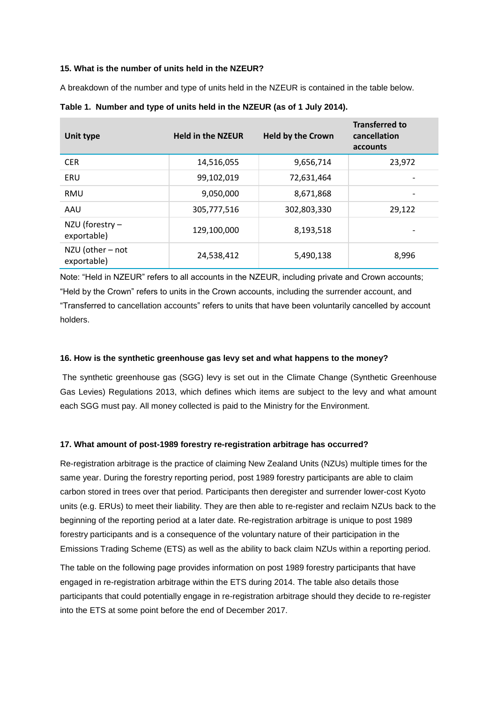## **15. What is the number of units held in the NZEUR?**

A breakdown of the number and type of units held in the NZEUR is contained in the table below.

| Unit type                       | <b>Held in the NZEUR</b> | <b>Held by the Crown</b> | <b>Transferred to</b><br>cancellation<br>accounts |
|---------------------------------|--------------------------|--------------------------|---------------------------------------------------|
| <b>CER</b>                      | 14,516,055               | 9,656,714                | 23,972                                            |
| ERU                             | 99,102,019               | 72,631,464               |                                                   |
| <b>RMU</b>                      | 9,050,000                | 8,671,868                |                                                   |
| AAU                             | 305,777,516              | 302,803,330              | 29,122                                            |
| NZU (forestry -<br>exportable)  | 129,100,000              | 8,193,518                |                                                   |
| NZU (other - not<br>exportable) | 24,538,412               | 5,490,138                | 8,996                                             |

# **Table 1. Number and type of units held in the NZEUR (as of 1 July 2014).**

Note: "Held in NZEUR" refers to all accounts in the NZEUR, including private and Crown accounts; "Held by the Crown" refers to units in the Crown accounts, including the surrender account, and "Transferred to cancellation accounts" refers to units that have been voluntarily cancelled by account holders.

# **16. How is the synthetic greenhouse gas levy set and what happens to the money?**

The synthetic greenhouse gas (SGG) levy is set out in the Climate Change (Synthetic Greenhouse Gas Levies) Regulations 2013, which defines which items are subject to the levy and what amount each SGG must pay. All money collected is paid to the Ministry for the Environment.

### **17. What amount of post-1989 forestry re-registration arbitrage has occurred?**

Re-registration arbitrage is the practice of claiming New Zealand Units (NZUs) multiple times for the same year. During the forestry reporting period, post 1989 forestry participants are able to claim carbon stored in trees over that period. Participants then deregister and surrender lower-cost Kyoto units (e.g. ERUs) to meet their liability. They are then able to re-register and reclaim NZUs back to the beginning of the reporting period at a later date. Re-registration arbitrage is unique to post 1989 forestry participants and is a consequence of the voluntary nature of their participation in the Emissions Trading Scheme (ETS) as well as the ability to back claim NZUs within a reporting period.

The table on the following page provides information on post 1989 forestry participants that have engaged in re-registration arbitrage within the ETS during 2014. The table also details those participants that could potentially engage in re-registration arbitrage should they decide to re-register into the ETS at some point before the end of December 2017.